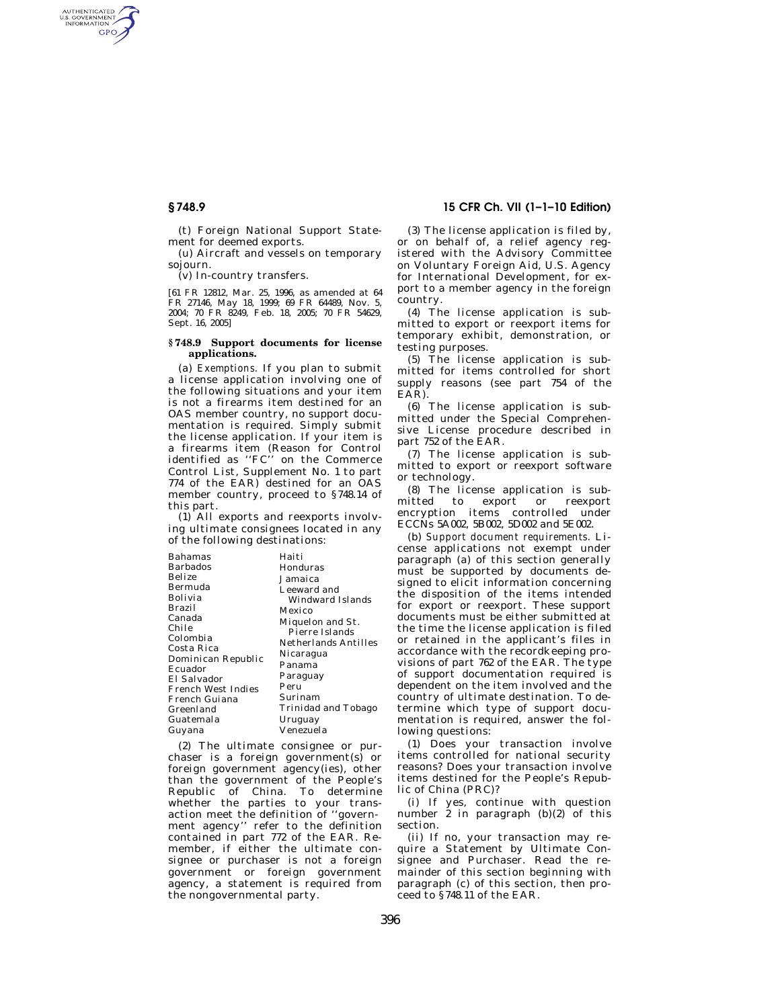AUTHENTICATED<br>U.S. GOVERNMENT<br>INFORMATION **GPO** 

> (t) Foreign National Support Statement for deemed exports.

> (u) Aircraft and vessels on temporary sojourn.

(v) In-country transfers.

[61 FR 12812, Mar. 25, 1996, as amended at 64 FR 27146, May 18, 1999; 69 FR 64489, Nov. 5, 2004; 70 FR 8249, Feb. 18, 2005; 70 FR 54629, Sept. 16, 2005]

#### **§ 748.9 Support documents for license applications.**

(a) *Exemptions.* If you plan to submit a license application involving one of the following situations and your item is not a firearms item destined for an OAS member country, no support documentation is required. Simply submit the license application. If your item is a firearms item (Reason for Control identified as ''FC'' on the Commerce Control List, Supplement No. 1 to part 774 of the EAR) destined for an OAS member country, proceed to §748.14 of this part.

(1) All exports and reexports involving ultimate consignees located in any of the following destinations:

| Bahamas            | Haiti                |
|--------------------|----------------------|
| Barbados           | Honduras             |
| Belize             | Jamaica              |
| Bermuda            | Leeward and          |
| Bolivia            | Windward Islands     |
| Brazil             | Mexico               |
| Canada             | Miquelon and St.     |
| Chile              | Pierre Islands       |
| Colombia           | Netherlands Antilles |
| Costa Rica         | Nicaragua            |
| Dominican Republic | Panama               |
| Ecuador            | Paraguay             |
| El Salvador        | Peru                 |
| French West Indies |                      |
| French Guiana      | Surinam              |
| Greenland          | Trinidad and Tobago  |
| Guatemala          | Uruguay              |
| Guyana             | Venezuela            |

(2) The ultimate consignee or purchaser is a foreign government(s) or foreign government agency(ies), other than the government of the People's Republic of China. To determine whether the parties to your transaction meet the definition of ''government agency'' refer to the definition contained in part 772 of the EAR. Remember, if either the ultimate consignee or purchaser is not a foreign government or foreign government agency, a statement is required from the nongovernmental party.

# **§ 748.9 15 CFR Ch. VII (1–1–10 Edition)**

(3) The license application is filed by, or on behalf of, a relief agency registered with the Advisory Committee on Voluntary Foreign Aid, U.S. Agency for International Development, for export to a member agency in the foreign country.

(4) The license application is submitted to export or reexport items for temporary exhibit, demonstration, or testing purposes.

(5) The license application is submitted for items controlled for short supply reasons (see part 754 of the EAR).

(6) The license application is submitted under the Special Comprehensive License procedure described in part 752 of the EAR.

(7) The license application is submitted to export or reexport software or technology.

(8) The license application is submitted to export or reexport encryption items controlled under ECCNs 5A002, 5B002, 5D002 and 5E002.

(b) *Support document requirements.* License applications not exempt under paragraph (a) of this section generally must be supported by documents designed to elicit information concerning the disposition of the items intended for export or reexport. These support documents must be either submitted at the time the license application is filed or retained in the applicant's files in accordance with the recordkeeping provisions of part 762 of the EAR. The type of support documentation required is dependent on the item involved and the country of ultimate destination. To determine which type of support documentation is required, answer the following questions:

(1) Does your transaction involve items controlled for national security reasons? Does your transaction involve items destined for the People's Republic of China (PRC)?

(i) If yes, continue with question number  $\tilde{z}$  in paragraph (b)(2) of this section.

(ii) If no, your transaction may require a Statement by Ultimate Consignee and Purchaser. Read the remainder of this section beginning with paragraph (c) of this section, then proceed to §748.11 of the EAR.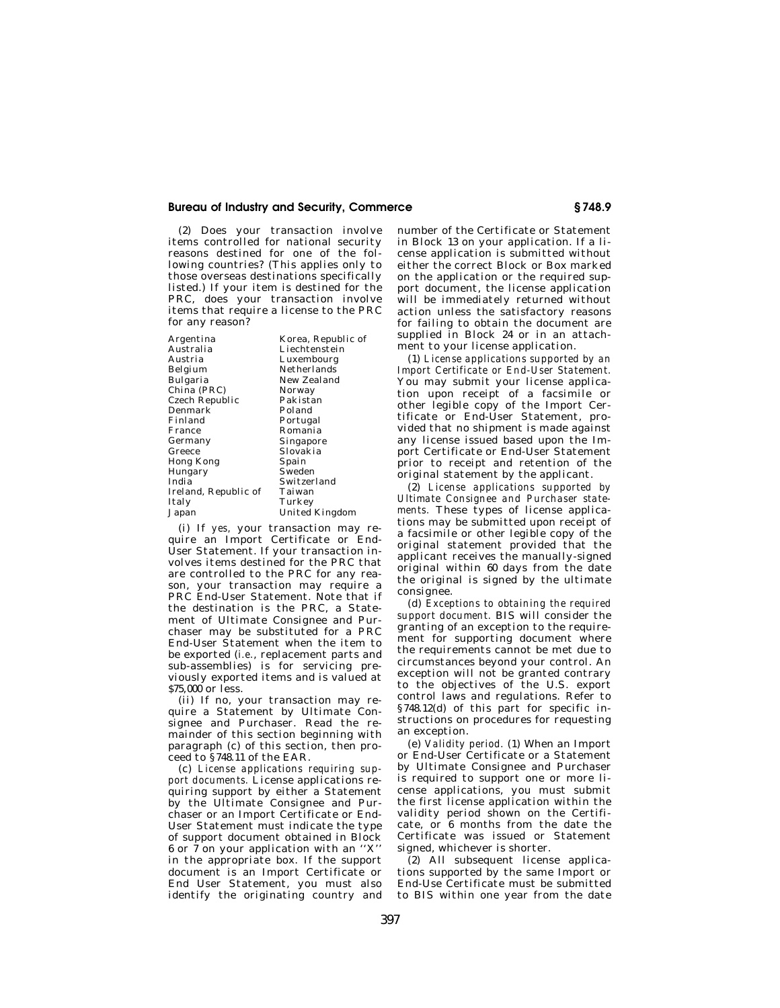### **Bureau of Industry and Security, Commerce § 748.9**

(2) Does your transaction involve items controlled for national security reasons destined for one of the following countries? (This applies only to those overseas destinations specifically listed.) If your item is destined for the PRC, does your transaction involve items that require a license to the PRC for any reason?

| Argentina            | Korea, Republic of |
|----------------------|--------------------|
| Australia            | Liechtenstein      |
| Austria              | Luxembourg         |
| Belgium              | Netherlands        |
| Bulgaria             | New Zealand        |
| China (PRC)          | Norway             |
| Czech Republic       | Pakistan           |
| Denmark              | Poland             |
| Finland              | Portugal           |
| France               | Romania            |
| Germany              | Singapore          |
| Greece               | Slovakia           |
| Hong Kong            | Spain              |
| Hungary              | Sweden             |
| India                | Switzerland        |
| Ireland, Republic of | Taiwan             |
| Italy                | Turkey             |
| Japan                | United Kingdom     |

(i) If *yes,* your transaction may require an Import Certificate or End-User Statement. If your transaction involves items destined for the PRC that are controlled to the PRC for any reason, your transaction may require a PRC End-User Statement. Note that if the destination is the PRC, a Statement of Ultimate Consignee and Purchaser may be substituted for a PRC End-User Statement when the item to be exported (*i.e.*, replacement parts and sub-assemblies) is for servicing previously exported items and is valued at \$75,000 or less.

(ii) If no, your transaction may require a Statement by Ultimate Consignee and Purchaser. Read the remainder of this section beginning with paragraph (c) of this section, then proceed to §748.11 of the EAR.

(c) *License applications requiring support documents.* License applications requiring support by either a Statement by the Ultimate Consignee and Purchaser or an Import Certificate or End-User Statement must indicate the type of support document obtained in Block 6 or 7 on your application with an ''X'' in the appropriate box. If the support document is an Import Certificate or End User Statement, you must also identify the originating country and

number of the Certificate or Statement in Block 13 on your application. If a license application is submitted without either the correct Block or Box marked on the application or the required support document, the license application will be immediately returned without action unless the satisfactory reasons for failing to obtain the document are supplied in Block 24 or in an attachment to your license application.

(1) *License applications supported by an Import Certificate or End-User Statement.*  You may submit your license application upon receipt of a facsimile or other legible copy of the Import Certificate or End-User Statement, provided that no shipment is made against any license issued based upon the Import Certificate or End-User Statement prior to receipt and retention of the original statement by the applicant.

(2) *License applications supported by Ultimate Consignee and Purchaser statements.* These types of license applications may be submitted upon receipt of a facsimile or other legible copy of the original statement provided that the applicant receives the manually-signed original within 60 days from the date the original is signed by the ultimate consignee.

(d) *Exceptions to obtaining the required support document.* BIS will consider the granting of an exception to the requirement for supporting document where the requirements cannot be met due to circumstances beyond your control. An exception will not be granted contrary to the objectives of the U.S. export control laws and regulations. Refer to §748.12(d) of this part for specific instructions on procedures for requesting an exception.

(e) *Validity period.* (1) When an Import or End-User Certificate or a Statement by Ultimate Consignee and Purchaser is required to support one or more license applications, you must submit the first license application within the validity period shown on the Certificate, or 6 months from the date the Certificate was issued or Statement signed, whichever is shorter.

(2) All subsequent license applications supported by the same Import or End-Use Certificate must be submitted to BIS within one year from the date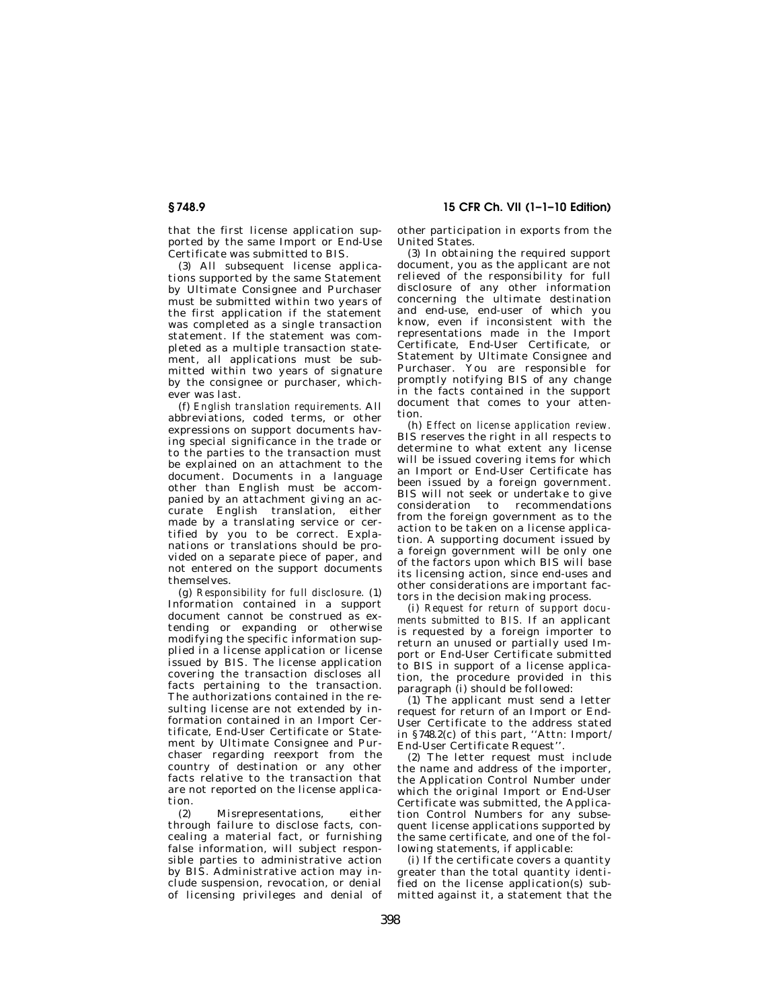that the first license application supported by the same Import or End-Use Certificate was submitted to BIS.

(3) All subsequent license applications supported by the same Statement by Ultimate Consignee and Purchaser must be submitted within two years of the first application if the statement was completed as a single transaction statement. If the statement was completed as a multiple transaction statement, all applications must be submitted within two years of signature by the consignee or purchaser, whichever was last.

(f) *English translation requirements.* All abbreviations, coded terms, or other expressions on support documents having special significance in the trade or to the parties to the transaction must be explained on an attachment to the document. Documents in a language other than English must be accompanied by an attachment giving an accurate English translation, either made by a translating service or certified by you to be correct. Explanations or translations should be provided on a separate piece of paper, and not entered on the support documents themselves.

(g) *Responsibility for full disclosure.* (1) Information contained in a support document cannot be construed as extending or expanding or otherwise modifying the specific information supplied in a license application or license issued by BIS. The license application covering the transaction discloses all facts pertaining to the transaction. The authorizations contained in the resulting license are not extended by information contained in an Import Certificate, End-User Certificate or Statement by Ultimate Consignee and Purchaser regarding reexport from the country of destination or any other facts relative to the transaction that are not reported on the license application.

(2) Misrepresentations, either through failure to disclose facts, concealing a material fact, or furnishing false information, will subject responsible parties to administrative action by BIS. Administrative action may include suspension, revocation, or denial of licensing privileges and denial of other participation in exports from the United States.

(3) In obtaining the required support document, you as the applicant are not relieved of the responsibility for full disclosure of any other information concerning the ultimate destination and end-use, end-user of which you know, even if inconsistent with the representations made in the Import Certificate, End-User Certificate, or Statement by Ultimate Consignee and Purchaser. You are responsible for promptly notifying BIS of any change in the facts contained in the support document that comes to your attention.

(h) *Effect on license application review.*  BIS reserves the right in all respects to determine to what extent any license will be issued covering items for which an Import or End-User Certificate has been issued by a foreign government. BIS will not seek or undertake to give consideration to recommendations from the foreign government as to the action to be taken on a license application. A supporting document issued by a foreign government will be only one of the factors upon which BIS will base its licensing action, since end-uses and other considerations are important factors in the decision making process.

(i) *Request for return of support documents submitted to BIS.* If an applicant is requested by a foreign importer to return an unused or partially used Import or End-User Certificate submitted to BIS in support of a license application, the procedure provided in this paragraph (i) should be followed:

(1) The applicant must send a letter request for return of an Import or End-User Certificate to the address stated in §748.2(c) of this part, ''Attn: Import/ End-User Certificate Request''.

(2) The letter request must include the name and address of the importer, the Application Control Number under which the original Import or End-User Certificate was submitted, the Application Control Numbers for any subsequent license applications supported by the same certificate, and one of the following statements, if applicable:

(i) If the certificate covers a quantity greater than the total quantity identified on the license application(s) submitted against it, a statement that the